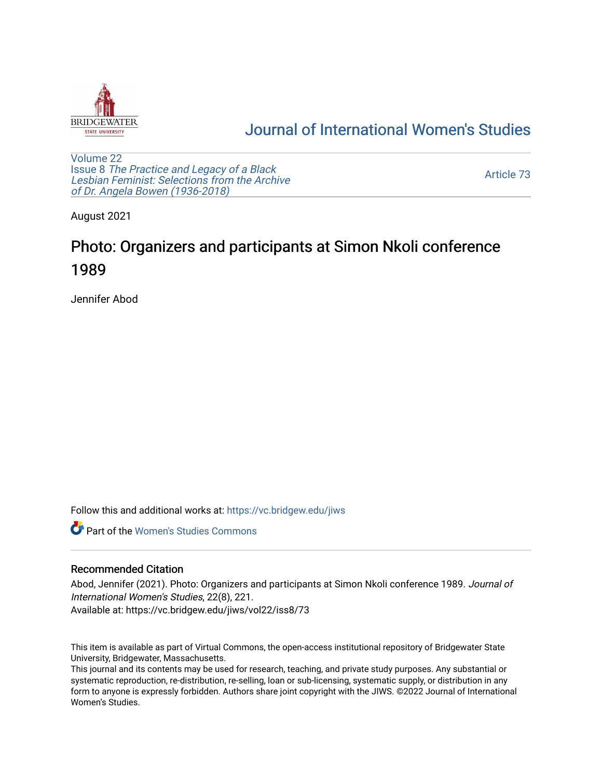

## [Journal of International Women's Studies](https://vc.bridgew.edu/jiws)

[Volume 22](https://vc.bridgew.edu/jiws/vol22) Issue 8 [The Practice and Legacy of a Black](https://vc.bridgew.edu/jiws/vol22/iss8)  [Lesbian Feminist: Selections from the Archive](https://vc.bridgew.edu/jiws/vol22/iss8)  [of Dr. Angela Bowen \(1936-2018\)](https://vc.bridgew.edu/jiws/vol22/iss8)

[Article 73](https://vc.bridgew.edu/jiws/vol22/iss8/73) 

August 2021

## Photo: Organizers and participants at Simon Nkoli conference 1989

Jennifer Abod

Follow this and additional works at: [https://vc.bridgew.edu/jiws](https://vc.bridgew.edu/jiws?utm_source=vc.bridgew.edu%2Fjiws%2Fvol22%2Fiss8%2F73&utm_medium=PDF&utm_campaign=PDFCoverPages)

**C** Part of the Women's Studies Commons

## Recommended Citation

Abod, Jennifer (2021). Photo: Organizers and participants at Simon Nkoli conference 1989. Journal of International Women's Studies, 22(8), 221. Available at: https://vc.bridgew.edu/jiws/vol22/iss8/73

This item is available as part of Virtual Commons, the open-access institutional repository of Bridgewater State University, Bridgewater, Massachusetts.

This journal and its contents may be used for research, teaching, and private study purposes. Any substantial or systematic reproduction, re-distribution, re-selling, loan or sub-licensing, systematic supply, or distribution in any form to anyone is expressly forbidden. Authors share joint copyright with the JIWS. ©2022 Journal of International Women's Studies.